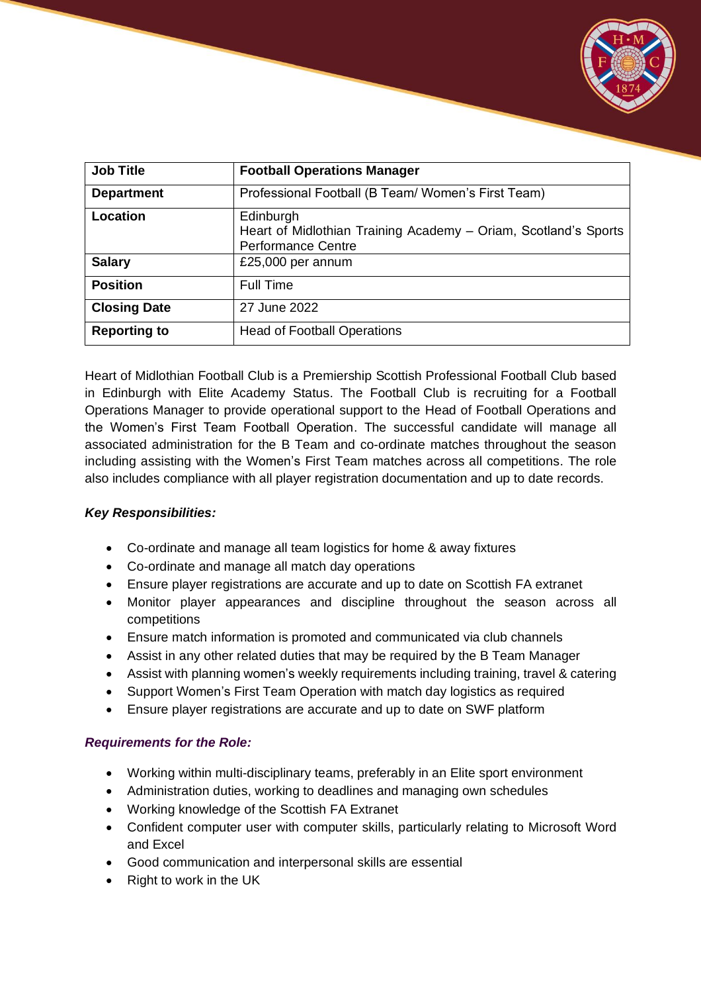

| <b>Job Title</b>    | <b>Football Operations Manager</b>                                                                        |
|---------------------|-----------------------------------------------------------------------------------------------------------|
| <b>Department</b>   | Professional Football (B Team/ Women's First Team)                                                        |
| Location            | Edinburgh<br>Heart of Midlothian Training Academy - Oriam, Scotland's Sports<br><b>Performance Centre</b> |
| <b>Salary</b>       | £25,000 per annum                                                                                         |
| <b>Position</b>     | <b>Full Time</b>                                                                                          |
| <b>Closing Date</b> | 27 June 2022                                                                                              |
| <b>Reporting to</b> | <b>Head of Football Operations</b>                                                                        |

Heart of Midlothian Football Club is a Premiership Scottish Professional Football Club based in Edinburgh with Elite Academy Status. The Football Club is recruiting for a Football Operations Manager to provide operational support to the Head of Football Operations and the Women's First Team Football Operation. The successful candidate will manage all associated administration for the B Team and co-ordinate matches throughout the season including assisting with the Women's First Team matches across all competitions. The role also includes compliance with all player registration documentation and up to date records.

## *Key Responsibilities:*

- Co-ordinate and manage all team logistics for home & away fixtures
- Co-ordinate and manage all match day operations
- Ensure player registrations are accurate and up to date on Scottish FA extranet
- Monitor player appearances and discipline throughout the season across all competitions
- Ensure match information is promoted and communicated via club channels
- Assist in any other related duties that may be required by the B Team Manager
- Assist with planning women's weekly requirements including training, travel & catering
- Support Women's First Team Operation with match day logistics as required
- Ensure player registrations are accurate and up to date on SWF platform

## *Requirements for the Role:*

- Working within multi-disciplinary teams, preferably in an Elite sport environment
- Administration duties, working to deadlines and managing own schedules
- Working knowledge of the Scottish FA Extranet
- Confident computer user with computer skills, particularly relating to Microsoft Word and Excel
- Good communication and interpersonal skills are essential
- Right to work in the UK